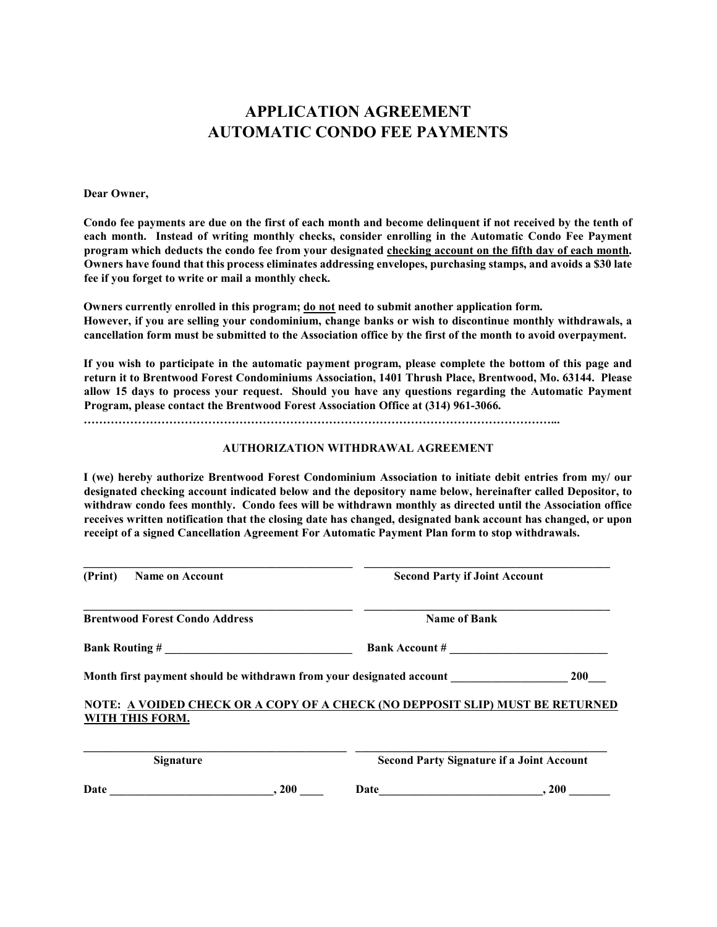## APPLICATION AGREEMENT AUTOMATIC CONDO FEE PAYMENTS

## Dear Owner,

Condo fee payments are due on the first of each month and become delinquent if not received by the tenth of each month. Instead of writing monthly checks, consider enrolling in the Automatic Condo Fee Payment program which deducts the condo fee from your designated checking account on the fifth day of each month. Owners have found that this process eliminates addressing envelopes, purchasing stamps, and avoids a \$30 late fee if you forget to write or mail a monthly check.

Owners currently enrolled in this program; do not need to submit another application form. However, if you are selling your condominium, change banks or wish to discontinue monthly withdrawals, a cancellation form must be submitted to the Association office by the first of the month to avoid overpayment.

If you wish to participate in the automatic payment program, please complete the bottom of this page and return it to Brentwood Forest Condominiums Association, 1401 Thrush Place, Brentwood, Mo. 63144. Please allow 15 days to process your request. Should you have any questions regarding the Automatic Payment Program, please contact the Brentwood Forest Association Office at (314) 961-3066.

…………………………………………………………………………………………………………...

## AUTHORIZATION WITHDRAWAL AGREEMENT

I (we) hereby authorize Brentwood Forest Condominium Association to initiate debit entries from my/ our designated checking account indicated below and the depository name below, hereinafter called Depositor, to withdraw condo fees monthly. Condo fees will be withdrawn monthly as directed until the Association office receives written notification that the closing date has changed, designated bank account has changed, or upon receipt of a signed Cancellation Agreement For Automatic Payment Plan form to stop withdrawals.

| (Print)<br><b>Name on Account</b>                                                                |      | <b>Second Party if Joint Account</b>             |            |
|--------------------------------------------------------------------------------------------------|------|--------------------------------------------------|------------|
| <b>Brentwood Forest Condo Address</b>                                                            |      | <b>Name of Bank</b>                              |            |
| <b>Bank Routing #</b>                                                                            |      | <b>Bank Account #</b>                            |            |
| Month first payment should be withdrawn from your designated account                             |      |                                                  | <b>200</b> |
| NOTE: A VOIDED CHECK OR A COPY OF A CHECK (NO DEPPOSIT SLIP) MUST BE RETURNED<br>WITH THIS FORM. |      |                                                  |            |
| <b>Signature</b>                                                                                 |      | <b>Second Party Signature if a Joint Account</b> |            |
| Date                                                                                             | .200 | Date                                             | .200       |